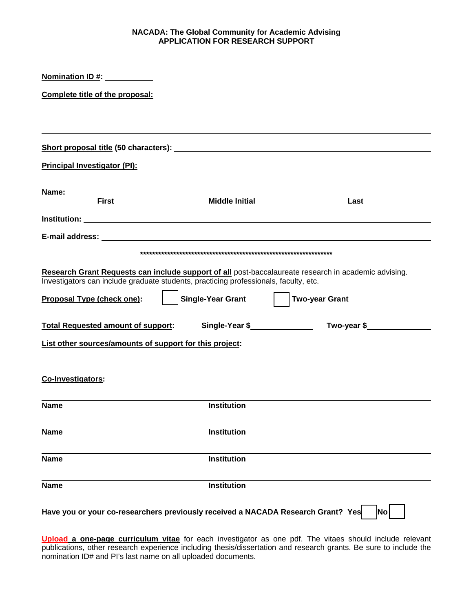## **NACADA: The Global Community for Academic Advising APPLICATION FOR RESEARCH SUPPORT**

| Nomination ID #: Nomination ID #:                       |                                                                                                                  |                                                                                                                               |
|---------------------------------------------------------|------------------------------------------------------------------------------------------------------------------|-------------------------------------------------------------------------------------------------------------------------------|
| Complete title of the proposal:                         |                                                                                                                  |                                                                                                                               |
|                                                         |                                                                                                                  |                                                                                                                               |
|                                                         |                                                                                                                  |                                                                                                                               |
| <b>Principal Investigator (PI):</b>                     |                                                                                                                  |                                                                                                                               |
| Name: First                                             | <b>Middle Initial</b>                                                                                            | Last                                                                                                                          |
|                                                         |                                                                                                                  |                                                                                                                               |
|                                                         |                                                                                                                  |                                                                                                                               |
|                                                         |                                                                                                                  |                                                                                                                               |
| Proposal Type (check one):                              | Investigators can include graduate students, practicing professionals, faculty, etc.<br><b>Single-Year Grant</b> | Research Grant Requests can include support of all post-baccalaureate research in academic advising.<br><b>Two-year Grant</b> |
| <b>Total Requested amount of support:</b>               | Single-Year \$                                                                                                   | Two-year \$                                                                                                                   |
| List other sources/amounts of support for this project: |                                                                                                                  |                                                                                                                               |
| Co-Investigators:                                       |                                                                                                                  |                                                                                                                               |
| <b>Name</b>                                             | <b>Institution</b>                                                                                               |                                                                                                                               |
| <b>Name</b>                                             | <b>Institution</b>                                                                                               |                                                                                                                               |
| <b>Name</b>                                             | <b>Institution</b>                                                                                               |                                                                                                                               |
| <b>Name</b>                                             | <b>Institution</b>                                                                                               |                                                                                                                               |
|                                                         | Have you or your co-researchers previously received a NACADA Research Grant? Yes                                 | <b>No</b>                                                                                                                     |

**Upload a one-page curriculum vitae** for each investigator as one pdf. The vitaes should include relevant publications, other research experience including thesis/dissertation and research grants. Be sure to include the nomination ID# and PI's last name on all uploaded documents.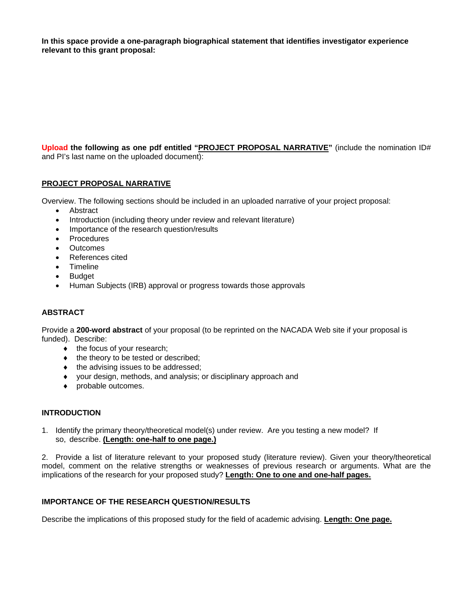**In this space provide a one-paragraph biographical statement that identifies investigator experience relevant to this grant proposal:** 

**Upload the following as one pdf entitled "PROJECT PROPOSAL NARRATIVE"** (include the nomination ID# and PI's last name on the uploaded document):

## **PROJECT PROPOSAL NARRATIVE**

Overview. The following sections should be included in an uploaded narrative of your project proposal:

- Abstract
- Introduction (including theory under review and relevant literature)
- Importance of the research question/results
- Procedures
- **Outcomes**
- References cited
- Timeline
- Budget
- Human Subjects (IRB) approval or progress towards those approvals

# **ABSTRACT**

Provide a **200-word abstract** of your proposal (to be reprinted on the NACADA Web site if your proposal is funded). Describe:

- $\bullet$  the focus of your research;
- $\bullet$  the theory to be tested or described;
- $\bullet$  the advising issues to be addressed;
- your design, methods, and analysis; or disciplinary approach and
- probable outcomes.

#### **INTRODUCTION**

1. Identify the primary theory/theoretical model(s) under review. Are you testing a new model? If so, describe. **(Length: one-half to one page.)**

2. Provide a list of literature relevant to your proposed study (literature review). Given your theory/theoretical model, comment on the relative strengths or weaknesses of previous research or arguments. What are the implications of the research for your proposed study? **Length: One to one and one-half pages.**

# **IMPORTANCE OF THE RESEARCH QUESTION/RESULTS**

Describe the implications of this proposed study for the field of academic advising. **Length: One page.**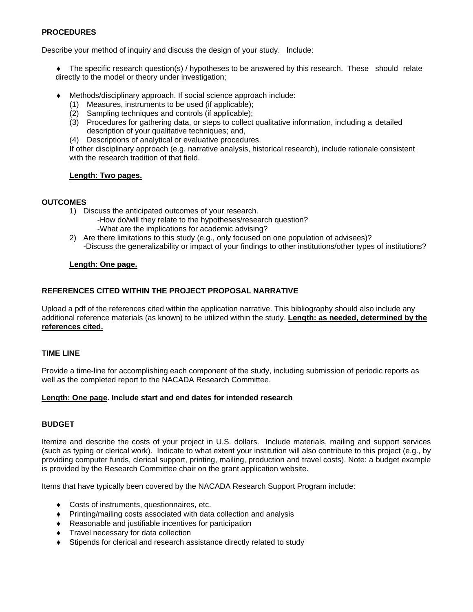## **PROCEDURES**

Describe your method of inquiry and discuss the design of your study. Include:

• The specific research question(s) / hypotheses to be answered by this research. These should relate directly to the model or theory under investigation;

- Methods/disciplinary approach. If social science approach include:
	- (1) Measures, instruments to be used (if applicable);
	- (2) Sampling techniques and controls (if applicable);
	- (3) Procedures for gathering data, or steps to collect qualitative information, including a detailed description of your qualitative techniques; and,
	- (4) Descriptions of analytical or evaluative procedures.

 If other disciplinary approach (e.g. narrative analysis, historical research), include rationale consistent with the research tradition of that field.

# **Length: Two pages.**

## **OUTCOMES**

- 1) Discuss the anticipated outcomes of your research.
	- -How do/will they relate to the hypotheses/research question? -What are the implications for academic advising?
- 2) Are there limitations to this study (e.g., only focused on one population of advisees)? -Discuss the generalizability or impact of your findings to other institutions/other types of institutions?

## **Length: One page.**

# **REFERENCES CITED WITHIN THE PROJECT PROPOSAL NARRATIVE**

Upload a pdf of the references cited within the application narrative. This bibliography should also include any additional reference materials (as known) to be utilized within the study. **Length: as needed, determined by the references cited.** 

# **TIME LINE**

Provide a time-line for accomplishing each component of the study, including submission of periodic reports as well as the completed report to the NACADA Research Committee.

# **Length: One page. Include start and end dates for intended research**

# **BUDGET**

Itemize and describe the costs of your project in U.S. dollars. Include materials, mailing and support services (such as typing or clerical work). Indicate to what extent your institution will also contribute to this project (e.g., by providing computer funds, clerical support, printing, mailing, production and travel costs). Note: a budget example is provided by the Research Committee chair on the grant application website.

Items that have typically been covered by the NACADA Research Support Program include:

- Costs of instruments, questionnaires, etc.
- Printing/mailing costs associated with data collection and analysis
- Reasonable and justifiable incentives for participation
- **Travel necessary for data collection**
- Stipends for clerical and research assistance directly related to study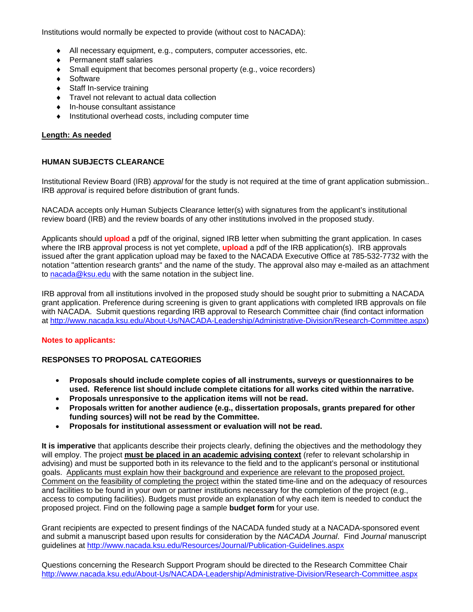Institutions would normally be expected to provide (without cost to NACADA):

- All necessary equipment, e.g., computers, computer accessories, etc.
- ◆ Permanent staff salaries
- Small equipment that becomes personal property (e.g., voice recorders)
- ◆ Software
- Staff In-service training
- Travel not relevant to actual data collection
- In-house consultant assistance
- $\bullet$  Institutional overhead costs, including computer time

#### **Length: As needed**

## **HUMAN SUBJECTS CLEARANCE**

Institutional Review Board (IRB) *approval* for the study is not required at the time of grant application submission.. IRB *approval* is required before distribution of grant funds.

NACADA accepts only Human Subjects Clearance letter(s) with signatures from the applicant's institutional review board (IRB) and the review boards of any other institutions involved in the proposed study.

Applicants should **upload** a pdf of the original, signed IRB letter when submitting the grant application. In cases where the IRB approval process is not yet complete, **upload** a pdf of the IRB application(s). IRB approvals issued after the grant application upload may be faxed to the NACADA Executive Office at 785-532-7732 with the notation "attention research grants" and the name of the study. The approval also may e-mailed as an attachment to nacada@ksu.edu with the same notation in the subject line.

IRB approval from all institutions involved in the proposed study should be sought prior to submitting a NACADA grant application. Preference during screening is given to grant applications with completed IRB approvals on file with NACADA. Submit questions regarding IRB approval to Research Committee chair (find contact information at http://www.nacada.ksu.edu/About-Us/NACADA-Leadership/Administrative-Division/Research-Committee.aspx)

#### **Notes to applicants:**

#### **RESPONSES TO PROPOSAL CATEGORIES**

- **Proposals should include complete copies of all instruments, surveys or questionnaires to be used. Reference list should include complete citations for all works cited within the narrative.**
- **Proposals unresponsive to the application items will not be read.**
- **Proposals written for another audience (e.g., dissertation proposals, grants prepared for other funding sources) will not be read by the Committee.**
- **Proposals for institutional assessment or evaluation will not be read.**

**It is imperative** that applicants describe their projects clearly, defining the objectives and the methodology they will employ. The project **must be placed in an academic advising context** (refer to relevant scholarship in advising) and must be supported both in its relevance to the field and to the applicant's personal or institutional goals. Applicants must explain how their background and experience are relevant to the proposed project. Comment on the feasibility of completing the project within the stated time-line and on the adequacy of resources and facilities to be found in your own or partner institutions necessary for the completion of the project (e.g., access to computing facilities). Budgets must provide an explanation of why each item is needed to conduct the proposed project. Find on the following page a sample **budget form** for your use.

Grant recipients are expected to present findings of the NACADA funded study at a NACADA-sponsored event and submit a manuscript based upon results for consideration by the *NACADA Journal*. Find *Journal* manuscript guidelines at http://www.nacada.ksu.edu/Resources/Journal/Publication-Guidelines.aspx

Questions concerning the Research Support Program should be directed to the Research Committee Chair http://www.nacada.ksu.edu/About-Us/NACADA-Leadership/Administrative-Division/Research-Committee.aspx